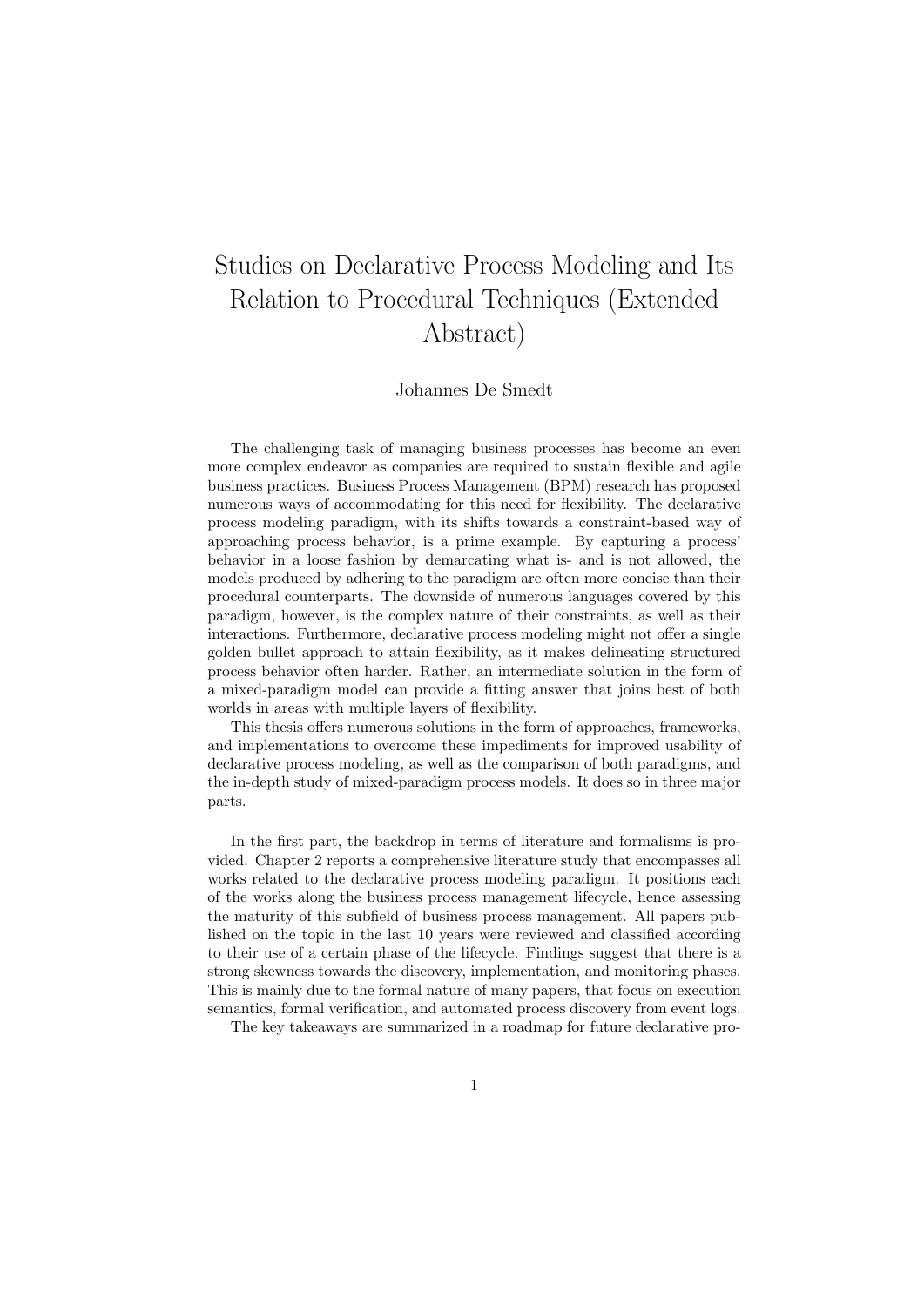## Studies on Declarative Process Modeling and Its Relation to Procedural Techniques (Extended Abstract)

Johannes De Smedt

The challenging task of managing business processes has become an even more complex endeavor as companies are required to sustain flexible and agile business practices. Business Process Management (BPM) research has proposed numerous ways of accommodating for this need for flexibility. The declarative process modeling paradigm, with its shifts towards a constraint-based way of approaching process behavior, is a prime example. By capturing a process' behavior in a loose fashion by demarcating what is- and is not allowed, the models produced by adhering to the paradigm are often more concise than their procedural counterparts. The downside of numerous languages covered by this paradigm, however, is the complex nature of their constraints, as well as their interactions. Furthermore, declarative process modeling might not offer a single golden bullet approach to attain flexibility, as it makes delineating structured process behavior often harder. Rather, an intermediate solution in the form of a mixed-paradigm model can provide a fitting answer that joins best of both worlds in areas with multiple layers of flexibility.

This thesis offers numerous solutions in the form of approaches, frameworks, and implementations to overcome these impediments for improved usability of declarative process modeling, as well as the comparison of both paradigms, and the in-depth study of mixed-paradigm process models. It does so in three major parts.

In the first part, the backdrop in terms of literature and formalisms is provided. Chapter 2 reports a comprehensive literature study that encompasses all works related to the declarative process modeling paradigm. It positions each of the works along the business process management lifecycle, hence assessing the maturity of this subfield of business process management. All papers published on the topic in the last 10 years were reviewed and classified according to their use of a certain phase of the lifecycle. Findings suggest that there is a strong skewness towards the discovery, implementation, and monitoring phases. This is mainly due to the formal nature of many papers, that focus on execution semantics, formal verification, and automated process discovery from event logs.

The key takeaways are summarized in a roadmap for future declarative pro-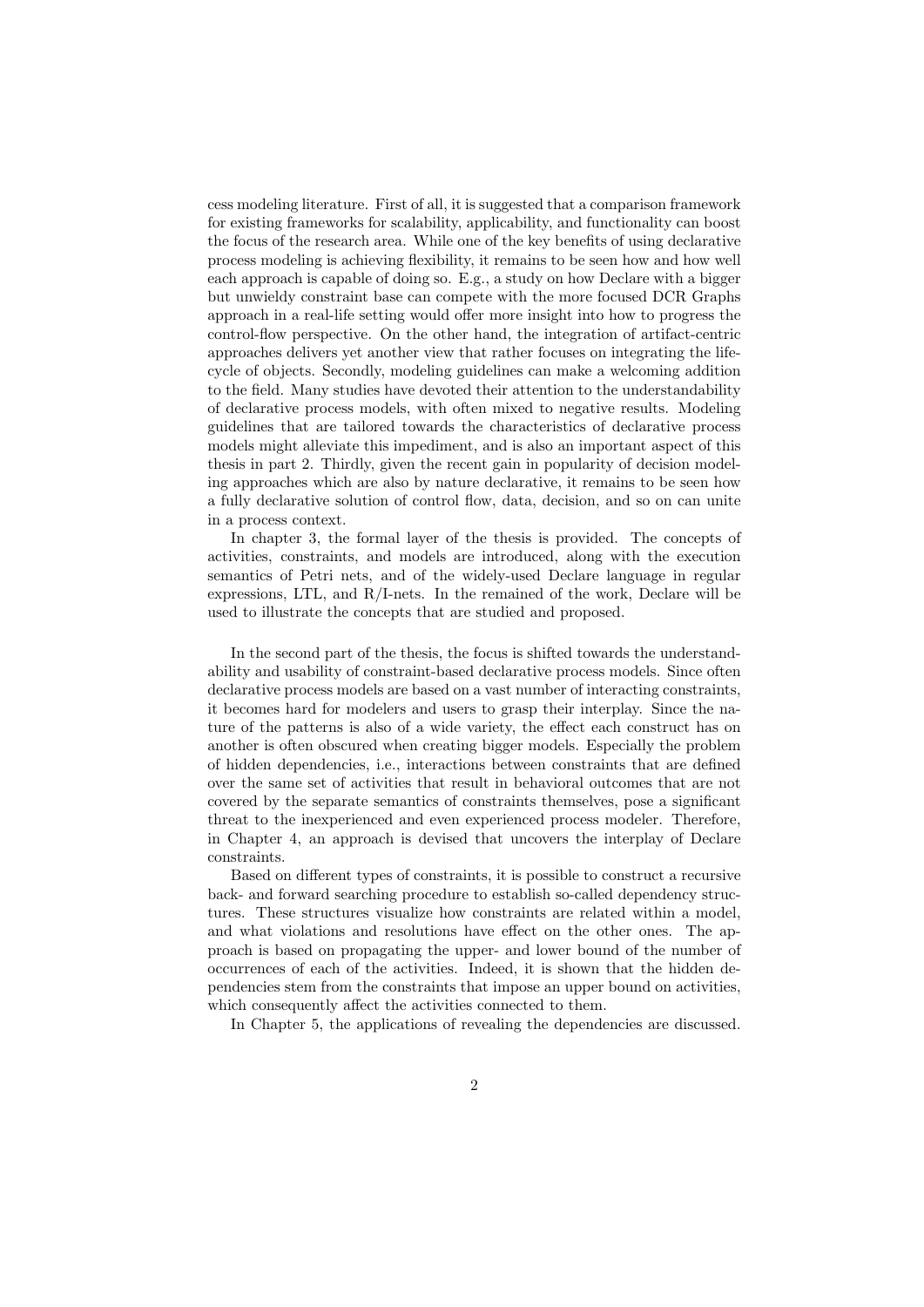cess modeling literature. First of all, it is suggested that a comparison framework for existing frameworks for scalability, applicability, and functionality can boost the focus of the research area. While one of the key benefits of using declarative process modeling is achieving flexibility, it remains to be seen how and how well each approach is capable of doing so. E.g., a study on how Declare with a bigger but unwieldy constraint base can compete with the more focused DCR Graphs approach in a real-life setting would offer more insight into how to progress the control-flow perspective. On the other hand, the integration of artifact-centric approaches delivers yet another view that rather focuses on integrating the lifecycle of objects. Secondly, modeling guidelines can make a welcoming addition to the field. Many studies have devoted their attention to the understandability of declarative process models, with often mixed to negative results. Modeling guidelines that are tailored towards the characteristics of declarative process models might alleviate this impediment, and is also an important aspect of this thesis in part 2. Thirdly, given the recent gain in popularity of decision modeling approaches which are also by nature declarative, it remains to be seen how a fully declarative solution of control flow, data, decision, and so on can unite in a process context.

In chapter 3, the formal layer of the thesis is provided. The concepts of activities, constraints, and models are introduced, along with the execution semantics of Petri nets, and of the widely-used Declare language in regular expressions, LTL, and R/I-nets. In the remained of the work, Declare will be used to illustrate the concepts that are studied and proposed.

In the second part of the thesis, the focus is shifted towards the understandability and usability of constraint-based declarative process models. Since often declarative process models are based on a vast number of interacting constraints, it becomes hard for modelers and users to grasp their interplay. Since the nature of the patterns is also of a wide variety, the effect each construct has on another is often obscured when creating bigger models. Especially the problem of hidden dependencies, i.e., interactions between constraints that are defined over the same set of activities that result in behavioral outcomes that are not covered by the separate semantics of constraints themselves, pose a significant threat to the inexperienced and even experienced process modeler. Therefore, in Chapter 4, an approach is devised that uncovers the interplay of Declare constraints.

Based on different types of constraints, it is possible to construct a recursive back- and forward searching procedure to establish so-called dependency structures. These structures visualize how constraints are related within a model, and what violations and resolutions have effect on the other ones. The approach is based on propagating the upper- and lower bound of the number of occurrences of each of the activities. Indeed, it is shown that the hidden dependencies stem from the constraints that impose an upper bound on activities, which consequently affect the activities connected to them.

In Chapter 5, the applications of revealing the dependencies are discussed.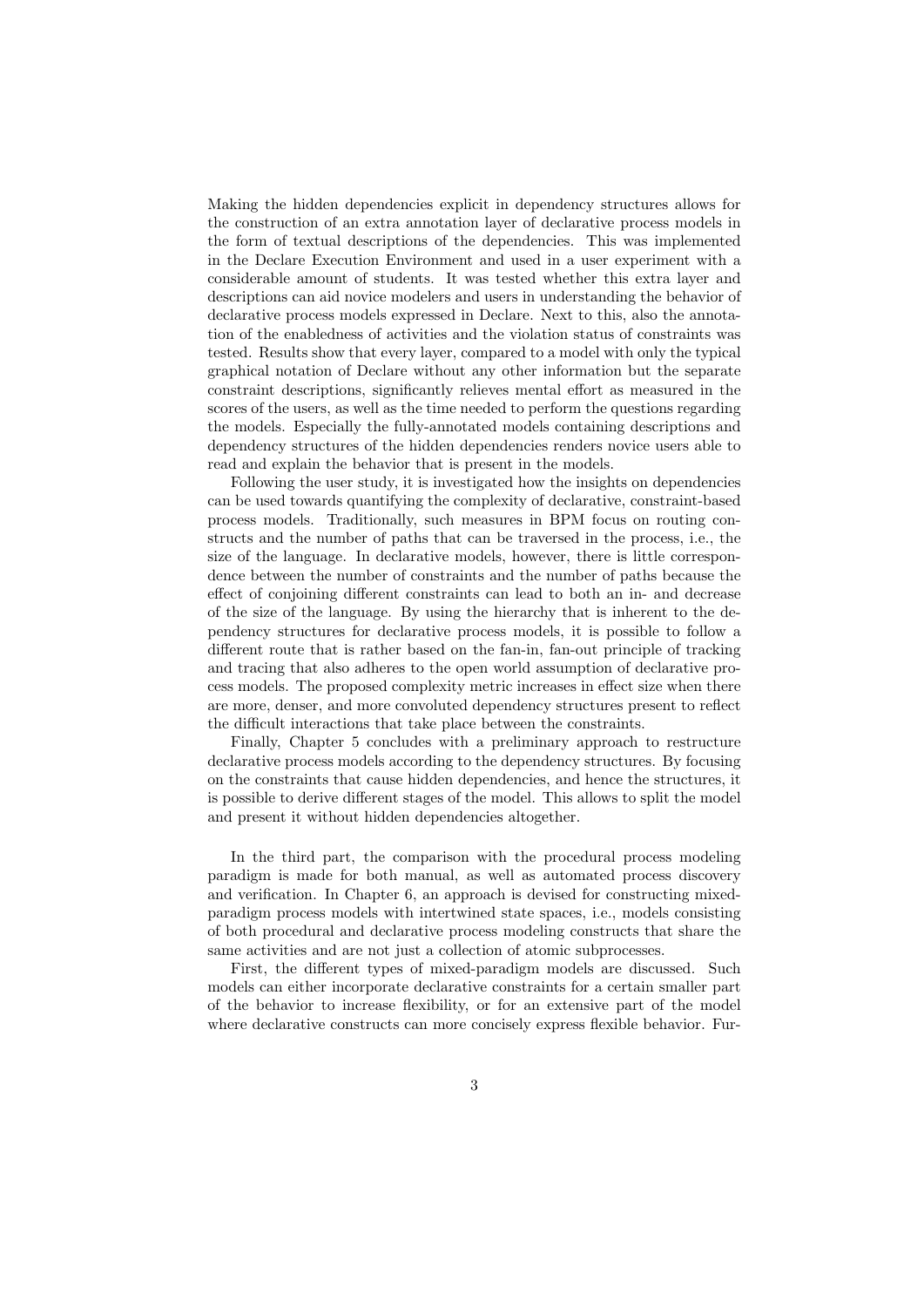Making the hidden dependencies explicit in dependency structures allows for the construction of an extra annotation layer of declarative process models in the form of textual descriptions of the dependencies. This was implemented in the Declare Execution Environment and used in a user experiment with a considerable amount of students. It was tested whether this extra layer and descriptions can aid novice modelers and users in understanding the behavior of declarative process models expressed in Declare. Next to this, also the annotation of the enabledness of activities and the violation status of constraints was tested. Results show that every layer, compared to a model with only the typical graphical notation of Declare without any other information but the separate constraint descriptions, significantly relieves mental effort as measured in the scores of the users, as well as the time needed to perform the questions regarding the models. Especially the fully-annotated models containing descriptions and dependency structures of the hidden dependencies renders novice users able to read and explain the behavior that is present in the models.

Following the user study, it is investigated how the insights on dependencies can be used towards quantifying the complexity of declarative, constraint-based process models. Traditionally, such measures in BPM focus on routing constructs and the number of paths that can be traversed in the process, i.e., the size of the language. In declarative models, however, there is little correspondence between the number of constraints and the number of paths because the effect of conjoining different constraints can lead to both an in- and decrease of the size of the language. By using the hierarchy that is inherent to the dependency structures for declarative process models, it is possible to follow a different route that is rather based on the fan-in, fan-out principle of tracking and tracing that also adheres to the open world assumption of declarative process models. The proposed complexity metric increases in effect size when there are more, denser, and more convoluted dependency structures present to reflect the difficult interactions that take place between the constraints.

Finally, Chapter 5 concludes with a preliminary approach to restructure declarative process models according to the dependency structures. By focusing on the constraints that cause hidden dependencies, and hence the structures, it is possible to derive different stages of the model. This allows to split the model and present it without hidden dependencies altogether.

In the third part, the comparison with the procedural process modeling paradigm is made for both manual, as well as automated process discovery and verification. In Chapter 6, an approach is devised for constructing mixedparadigm process models with intertwined state spaces, i.e., models consisting of both procedural and declarative process modeling constructs that share the same activities and are not just a collection of atomic subprocesses.

First, the different types of mixed-paradigm models are discussed. Such models can either incorporate declarative constraints for a certain smaller part of the behavior to increase flexibility, or for an extensive part of the model where declarative constructs can more concisely express flexible behavior. Fur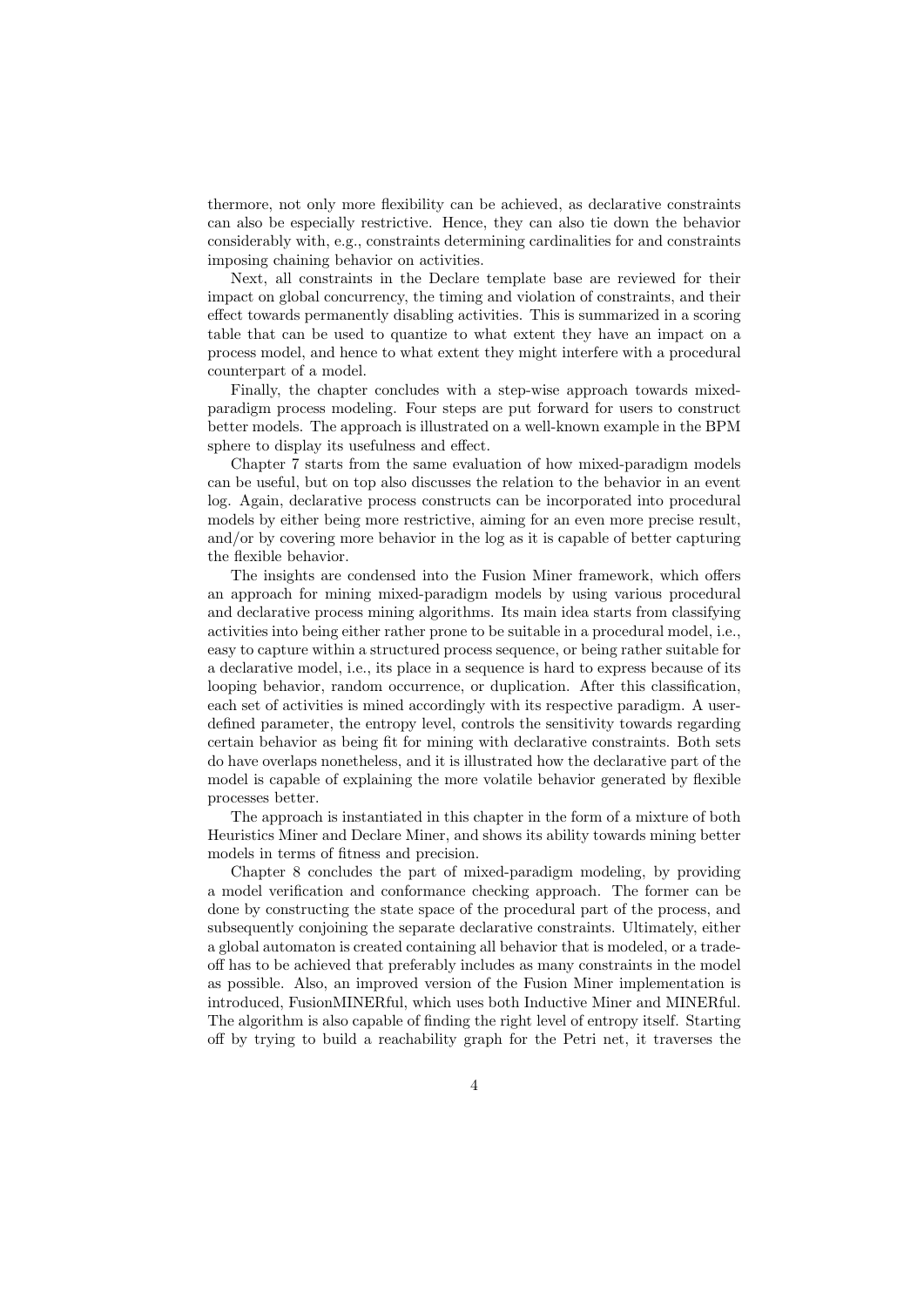thermore, not only more flexibility can be achieved, as declarative constraints can also be especially restrictive. Hence, they can also tie down the behavior considerably with, e.g., constraints determining cardinalities for and constraints imposing chaining behavior on activities.

Next, all constraints in the Declare template base are reviewed for their impact on global concurrency, the timing and violation of constraints, and their effect towards permanently disabling activities. This is summarized in a scoring table that can be used to quantize to what extent they have an impact on a process model, and hence to what extent they might interfere with a procedural counterpart of a model.

Finally, the chapter concludes with a step-wise approach towards mixedparadigm process modeling. Four steps are put forward for users to construct better models. The approach is illustrated on a well-known example in the BPM sphere to display its usefulness and effect.

Chapter 7 starts from the same evaluation of how mixed-paradigm models can be useful, but on top also discusses the relation to the behavior in an event log. Again, declarative process constructs can be incorporated into procedural models by either being more restrictive, aiming for an even more precise result, and/or by covering more behavior in the log as it is capable of better capturing the flexible behavior.

The insights are condensed into the Fusion Miner framework, which offers an approach for mining mixed-paradigm models by using various procedural and declarative process mining algorithms. Its main idea starts from classifying activities into being either rather prone to be suitable in a procedural model, i.e., easy to capture within a structured process sequence, or being rather suitable for a declarative model, i.e., its place in a sequence is hard to express because of its looping behavior, random occurrence, or duplication. After this classification, each set of activities is mined accordingly with its respective paradigm. A userdefined parameter, the entropy level, controls the sensitivity towards regarding certain behavior as being fit for mining with declarative constraints. Both sets do have overlaps nonetheless, and it is illustrated how the declarative part of the model is capable of explaining the more volatile behavior generated by flexible processes better.

The approach is instantiated in this chapter in the form of a mixture of both Heuristics Miner and Declare Miner, and shows its ability towards mining better models in terms of fitness and precision.

Chapter 8 concludes the part of mixed-paradigm modeling, by providing a model verification and conformance checking approach. The former can be done by constructing the state space of the procedural part of the process, and subsequently conjoining the separate declarative constraints. Ultimately, either a global automaton is created containing all behavior that is modeled, or a tradeoff has to be achieved that preferably includes as many constraints in the model as possible. Also, an improved version of the Fusion Miner implementation is introduced, FusionMINERful, which uses both Inductive Miner and MINERful. The algorithm is also capable of finding the right level of entropy itself. Starting off by trying to build a reachability graph for the Petri net, it traverses the